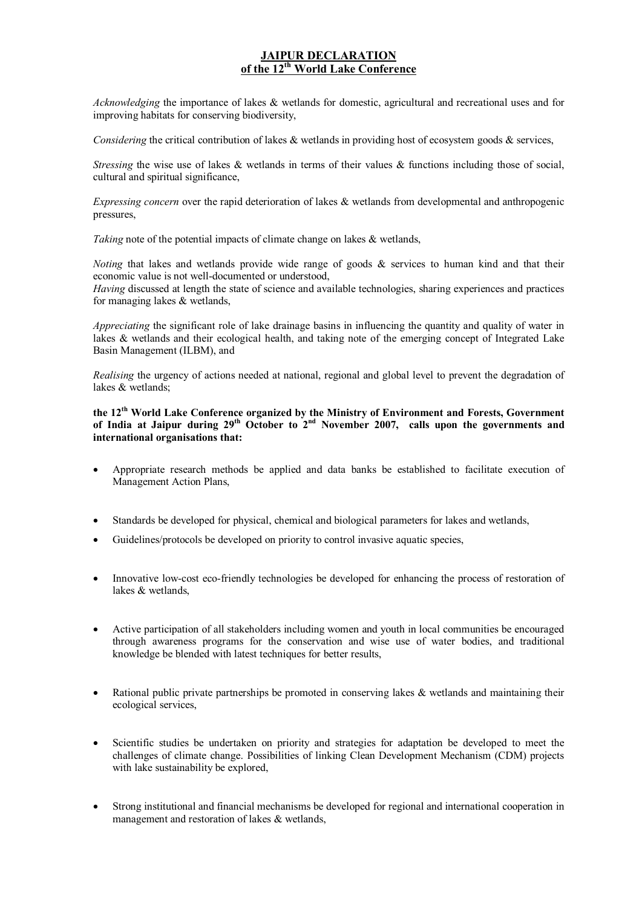## **JAIPUR DECLARATION of the 12th World Lake Conference**

*Acknowledging* the importance of lakes & wetlands for domestic, agricultural and recreational uses and for improving habitats for conserving biodiversity,

*Considering* the critical contribution of lakes & wetlands in providing host of ecosystem goods & services,

*Stressing* the wise use of lakes & wetlands in terms of their values & functions including those of social, cultural and spiritual significance,

*Expressing concern* over the rapid deterioration of lakes & wetlands from developmental and anthropogenic pressures,

*Taking* note of the potential impacts of climate change on lakes & wetlands,

*Noting* that lakes and wetlands provide wide range of goods & services to human kind and that their economic value is not well-documented or understood,

*Having* discussed at length the state of science and available technologies, sharing experiences and practices for managing lakes & wetlands,

*Appreciating* the significant role of lake drainage basins in influencing the quantity and quality of water in lakes & wetlands and their ecological health, and taking note of the emerging concept of Integrated Lake Basin Management (ILBM), and

*Realising* the urgency of actions needed at national, regional and global level to prevent the degradation of lakes  $&$  wetlands;

**the 12th World Lake Conference organized by the Ministry of Environment and Forests, Government of India at Jaipur during 29th October to 2nd November 2007, calls upon the governments and international organisations that:** 

- · Appropriate research methods be applied and data banks be established to facilitate execution of Management Action Plans,
- · Standards be developed for physical, chemical and biological parameters for lakes and wetlands,
- Guidelines/protocols be developed on priority to control invasive aquatic species,
- · Innovative low-cost eco-friendly technologies be developed for enhancing the process of restoration of lakes & wetlands,
- · Active participation of all stakeholders including women and youth in local communities be encouraged through awareness programs for the conservation and wise use of water bodies, and traditional knowledge be blended with latest techniques for better results,
- Rational public private partnerships be promoted in conserving lakes  $\&$  wetlands and maintaining their ecological services,
- Scientific studies be undertaken on priority and strategies for adaptation be developed to meet the challenges of climate change. Possibilities of linking Clean Development Mechanism (CDM) projects with lake sustainability be explored,
- Strong institutional and financial mechanisms be developed for regional and international cooperation in management and restoration of lakes & wetlands,